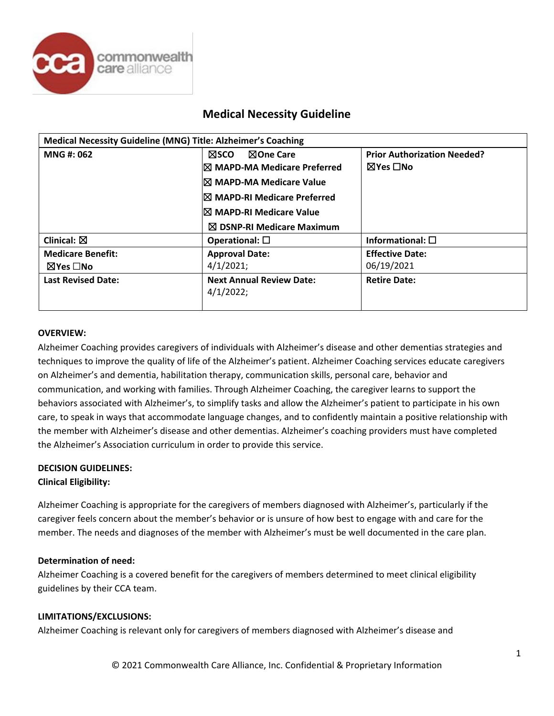

## **Medical Necessity Guideline**

| Medical Necessity Guideline (MNG) Title: Alzheimer's Coaching |                                              |                                    |  |  |
|---------------------------------------------------------------|----------------------------------------------|------------------------------------|--|--|
| <b>MNG#: 062</b>                                              | <b>NOne Care</b><br>⊠sco                     | <b>Prior Authorization Needed?</b> |  |  |
|                                                               | I⊠ MAPD-MA Medicare Preferred                | ⊠Yes □No                           |  |  |
| $\boxtimes$ MAPD-MA Medicare Value                            |                                              |                                    |  |  |
|                                                               | $\boxtimes$ MAPD-RI Medicare Preferred       |                                    |  |  |
|                                                               | $\boxtimes$ MAPD-RI Medicare Value           |                                    |  |  |
|                                                               | $\boxtimes$ DSNP-RI Medicare Maximum         |                                    |  |  |
| Clinical: $\boxtimes$                                         | Operational: $\square$                       | Informational: $\square$           |  |  |
| <b>Medicare Benefit:</b>                                      | <b>Approval Date:</b>                        | <b>Effective Date:</b>             |  |  |
| $\boxtimes$ Yes $\Box$ No                                     | 4/1/2021;                                    | 06/19/2021                         |  |  |
| <b>Last Revised Date:</b>                                     | <b>Next Annual Review Date:</b><br>4/1/2022; | <b>Retire Date:</b>                |  |  |

#### **OVERVIEW:**

Alzheimer Coaching provides caregivers of individuals with Alzheimer's disease and other dementias strategies and techniques to improve the quality of life of the Alzheimer's patient. Alzheimer Coaching services educate caregivers on Alzheimer's and dementia, habilitation therapy, communication skills, personal care, behavior and communication, and working with families. Through Alzheimer Coaching, the caregiver learns to support the behaviors associated with Alzheimer's, to simplify tasks and allow the Alzheimer's patient to participate in his own care, to speak in ways that accommodate language changes, and to confidently maintain a positive relationship with the member with Alzheimer's disease and other dementias. Alzheimer's coaching providers must have completed the Alzheimer's Association curriculum in order to provide this service.

### **DECISION GUIDELINES: Clinical Eligibility:**

Alzheimer Coaching is appropriate for the caregivers of members diagnosed with Alzheimer's, particularly if the caregiver feels concern about the member's behavior or is unsure of how best to engage with and care for the member. The needs and diagnoses of the member with Alzheimer's must be well documented in the care plan.

#### **Determination of need:**

Alzheimer Coaching is a covered benefit for the caregivers of members determined to meet clinical eligibility guidelines by their CCA team.

#### **LIMITATIONS/EXCLUSIONS:**

Alzheimer Coaching is relevant only for caregivers of members diagnosed with Alzheimer's disease and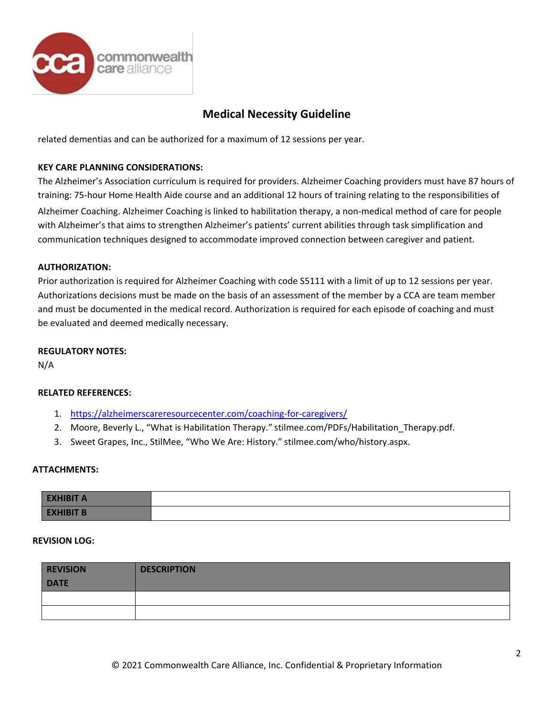

## **Medical Necessity Guideline**

related dementias and can be authorized for a maximum of 12 sessions per year.

#### **KEY CARE PLANNING CONSIDERATIONS:**

The Alzheimer's Association curriculum is required for providers. Alzheimer Coaching providers must have 87 hours of training: 75-hour Home Health Aide course and an additional 12 hours of training relating to the responsibilities of

Alzheimer Coaching. Alzheimer Coaching is linked to habilitation therapy, a non-medical method of care for people with Alzheimer's that aims to strengthen Alzheimer's patients' current abilities through task simplification and communication techniques designed to accommodate improved connection between caregiver and patient.

#### **AUTHORIZATION:**

Prior authorization is required for Alzheimer Coaching with code S5111 with a limit of up to 12 sessions per year. Authorizations decisions must be made on the basis of an assessment of the member by a CCA are team member and must be documented in the medical record. Authorization is required for each episode of coaching and must be evaluated and deemed medically necessary.

#### **REGULATORY NOTES:**

N/A

#### **RELATED REFERENCES:**

- 1. <https://alzheimerscareresourcecenter.com/coaching-for-caregivers/>
- 2. Moore, Beverly L., "What is Habilitation Therapy." stilmee.com/PDFs/Habilitation\_Therapy.pdf.
- 3. Sweet Grapes, Inc., StilMee, "Who We Are: History." stilmee.com/who/history.aspx.

#### **ATTACHMENTS:**

| <b>EXHIBIT A</b> |  |
|------------------|--|
| <b>EXHIBIT B</b> |  |

#### **REVISION LOG:**

| <b>REVISION</b><br><b>DATE</b> | <b>DESCRIPTION</b> |
|--------------------------------|--------------------|
|                                |                    |
|                                |                    |